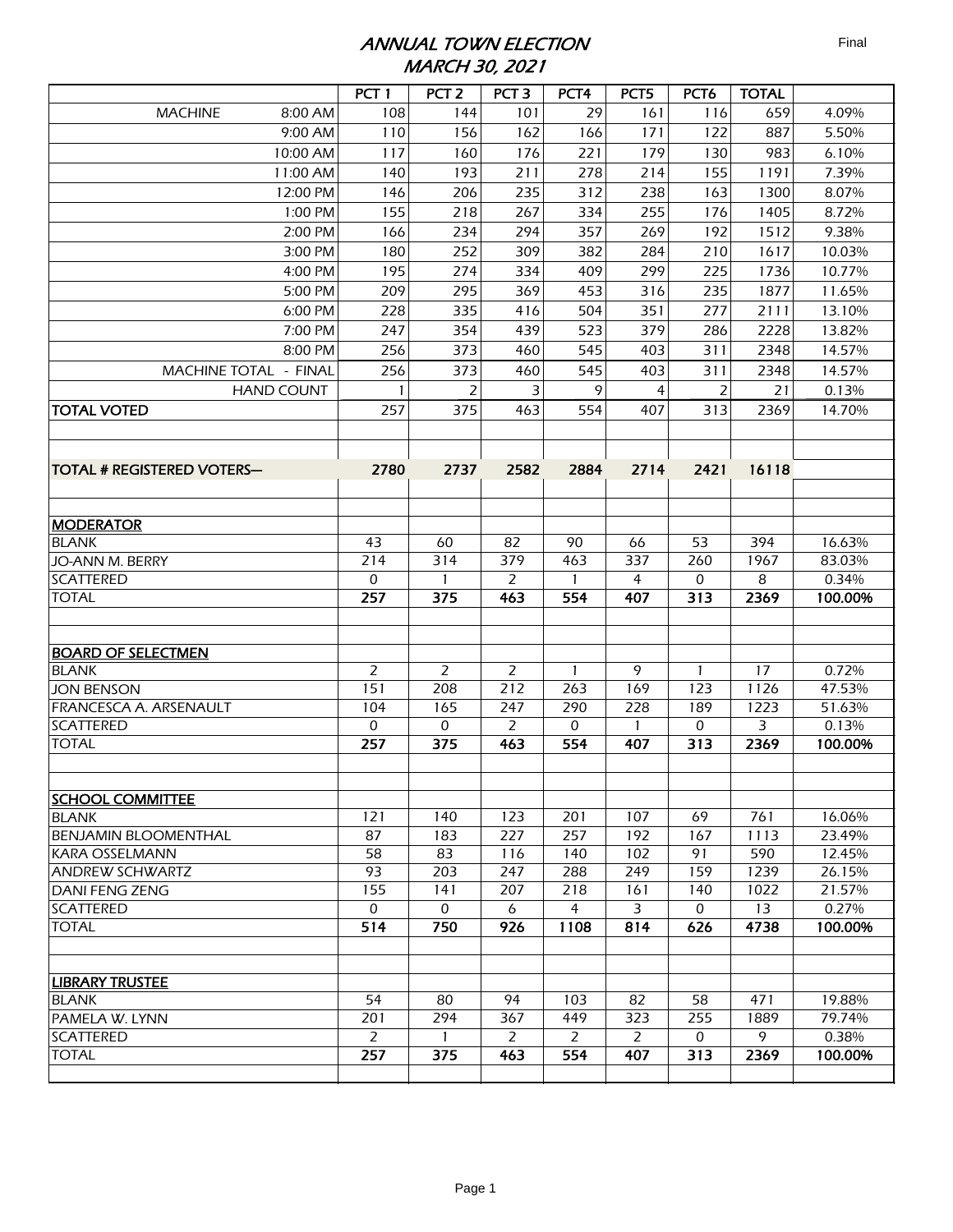## ANNUAL TOWN ELECTION MARCH 30, 2021

|                                            | PCT <sub>1</sub>      | PCT <sub>2</sub> | PCT <sub>3</sub>      | PCT <sub>4</sub>      | PCT5     | PCT <sub>6</sub>   | <b>TOTAL</b> |                 |
|--------------------------------------------|-----------------------|------------------|-----------------------|-----------------------|----------|--------------------|--------------|-----------------|
| <b>MACHINE</b><br>8:00 AM                  | 108                   | 144              | 101                   | 29                    | 161      | 116                | 659          | 4.09%           |
| 9:00 AM                                    | 110                   | 156              | 162                   | 166                   | 171      | 122                | 887          | 5.50%           |
| 10:00 AM                                   | 117                   | 160              | 176                   | 221                   | 179      | 130                | 983          | 6.10%           |
| 11:00 AM                                   | 140                   | 193              | 211                   | 278                   | 214      | 155                | 1191         | 7.39%           |
| 12:00 PM                                   | 146                   | 206              | 235                   | 312                   | 238      | 163                | 1300         | 8.07%           |
| 1:00 PM                                    | 155                   | 218              | 267                   | 334                   | 255      | 176                | 1405         | 8.72%           |
| 2:00 PM                                    | 166                   | 234              | 294                   | 357                   | 269      | 192                | 1512         | 9.38%           |
| 3:00 PM                                    | 180                   | 252              | 309                   | 382                   | 284      | 210                | 1617         | 10.03%          |
| 4:00 PM                                    | 195                   | 274              | 334                   | 409                   | 299      | 225                | 1736         | 10.77%          |
| 5:00 PM                                    | 209                   | 295              | 369                   | 453                   | 316      | 235                | 1877         | 11.65%          |
| 6:00 PM                                    | 228                   | 335              | 416                   | 504                   | 351      | 277                | 2111         | 13.10%          |
| 7:00 PM                                    | 247                   | 354              | 439                   | 523                   | 379      | 286                | 2228         | 13.82%          |
| 8:00 PM                                    | 256                   | 373              | 460                   | 545                   | 403      | 311                | 2348         | 14.57%          |
| MACHINE TOTAL - FINAL                      | 256                   | 373              | 460                   | 545                   | 403      | 311                | 2348         | 14.57%          |
| <b>HAND COUNT</b>                          |                       | 2                | 3                     | 9                     | 4        | $\overline{2}$     | 21           | 0.13%           |
| <b>TOTAL VOTED</b>                         | 257                   | 375              | 463                   | 554                   | 407      | 313                | 2369         | 14.70%          |
|                                            |                       |                  |                       |                       |          |                    |              |                 |
|                                            |                       |                  |                       |                       |          |                    |              |                 |
| <b>TOTAL # REGISTERED VOTERS--</b>         | 2780                  | 2737             | 2582                  | 2884                  | 2714     | 2421               | 16118        |                 |
|                                            |                       |                  |                       |                       |          |                    |              |                 |
|                                            |                       |                  |                       |                       |          |                    |              |                 |
| <b>MODERATOR</b>                           |                       |                  |                       |                       |          |                    |              |                 |
| <b>BLANK</b>                               | 43                    | 60               | 82                    | 90                    | 66       | 53                 | 394          | 16.63%          |
| <b>JO-ANN M. BERRY</b>                     | 214                   | 314              | 379                   | 463                   | 337      | 260                | 1967         | 83.03%          |
| <b>SCATTERED</b>                           | $\mathbf{0}$          | 1                | 2                     | $\mathbf{1}$          | 4        | 0                  | 8            | 0.34%           |
| <b>TOTAL</b>                               | 257                   | 375              | 463                   | 554                   | 407      | 313                | 2369         | 100.00%         |
|                                            |                       |                  |                       |                       |          |                    |              |                 |
|                                            |                       |                  |                       |                       |          |                    |              |                 |
| <b>BOARD OF SELECTMEN</b>                  |                       |                  |                       |                       |          |                    |              |                 |
| <b>BLANK</b>                               | $\overline{2}$        | 2                | $\overline{2}$        | 1                     | 9        | 1                  | 17           | 0.72%           |
| <b>JON BENSON</b>                          | 151                   | 208              | 212                   | 263                   | 169      | 123                | 1126         | 47.53%          |
| FRANCESCA A. ARSENAULT<br><b>SCATTERED</b> | 104<br>0              | 165<br>0         | 247<br>2              | 290<br>0              | 228      | 189<br>0           | 1223<br>3    | 51.63%<br>0.13% |
| <b>TOTAL</b>                               | 257                   | 375              | 463                   | 554                   | 407      | 313                | 2369         | 100.00%         |
|                                            |                       |                  |                       |                       |          |                    |              |                 |
|                                            |                       |                  |                       |                       |          |                    |              |                 |
| <b>SCHOOL COMMITTEE</b>                    |                       |                  |                       |                       |          |                    |              |                 |
| <b>BLANK</b>                               | 121                   | 140              | 123                   | 201                   | 107      | 69                 | 761          | 16.06%          |
| <b>BENJAMIN BLOOMENTHAL</b>                | 87                    | 183              | 227                   | 257                   | 192      | 167                | 1113         | 23.49%          |
| <b>KARA OSSELMANN</b>                      | 58                    | 83               | 116                   | 140                   | 102      | 91                 | 590          | 12.45%          |
| <b>ANDREW SCHWARTZ</b>                     | 93                    | 203              | 247                   | 288                   | 249      | 159                | 1239         | 26.15%          |
| DANI FENG ZENG                             | 155                   | 141              | 207                   | 218                   | 161      | 140                | 1022         | 21.57%          |
| <b>SCATTERED</b>                           | 0                     | 0                | 6                     | $\overline{4}$        | 3        | $\mathbf 0$        | 13           | 0.27%           |
| <b>TOTAL</b>                               | 514                   | 750              | 926                   | 1108                  | 814      | 626                | 4738         | 100.00%         |
|                                            |                       |                  |                       |                       |          |                    |              |                 |
|                                            |                       |                  |                       |                       |          |                    |              |                 |
| <b>LIBRARY TRUSTEE</b>                     |                       |                  |                       |                       |          |                    |              |                 |
| <b>BLANK</b>                               | 54                    | 80               | 94                    | 103                   | 82       | 58                 | 471          | 19.88%          |
| PAMELA W. LYNN<br><b>SCATTERED</b>         | 201<br>$\overline{2}$ | 294<br>1         | 367<br>$\overline{2}$ | 449<br>$\overline{2}$ | 323<br>2 | 255<br>$\mathbf 0$ | 1889<br>9    | 79.74%<br>0.38% |
| <b>TOTAL</b>                               | 257                   | 375              | 463                   | 554                   | 407      | 313                | 2369         | 100.00%         |
|                                            |                       |                  |                       |                       |          |                    |              |                 |
|                                            |                       |                  |                       |                       |          |                    |              |                 |